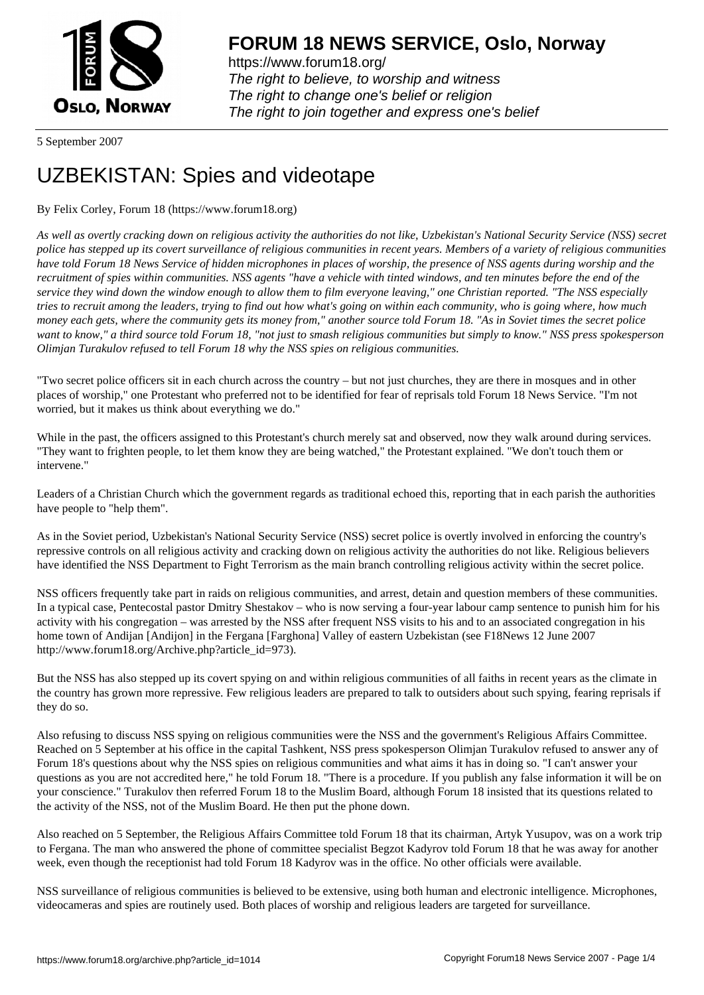

https://www.forum18.org/ The right to believe, to worship and witness The right to change one's belief or religion [The right to join together a](https://www.forum18.org/)nd express one's belief

5 September 2007

## [UZBEKISTAN:](https://www.forum18.org) Spies and videotape

## By Felix Corley, Forum 18 (https://www.forum18.org)

*As well as overtly cracking down on religious activity the authorities do not like, Uzbekistan's National Security Service (NSS) secret police has stepped up its covert surveillance of religious communities in recent years. Members of a variety of religious communities have told Forum 18 News Service of hidden microphones in places of worship, the presence of NSS agents during worship and the recruitment of spies within communities. NSS agents "have a vehicle with tinted windows, and ten minutes before the end of the service they wind down the window enough to allow them to film everyone leaving," one Christian reported. "The NSS especially tries to recruit among the leaders, trying to find out how what's going on within each community, who is going where, how much money each gets, where the community gets its money from," another source told Forum 18. "As in Soviet times the secret police want to know," a third source told Forum 18, "not just to smash religious communities but simply to know." NSS press spokesperson Olimjan Turakulov refused to tell Forum 18 why the NSS spies on religious communities.*

"Two secret police officers sit in each church across the country – but not just churches, they are there in mosques and in other places of worship," one Protestant who preferred not to be identified for fear of reprisals told Forum 18 News Service. "I'm not worried, but it makes us think about everything we do."

While in the past, the officers assigned to this Protestant's church merely sat and observed, now they walk around during services. "They want to frighten people, to let them know they are being watched," the Protestant explained. "We don't touch them or intervene."

Leaders of a Christian Church which the government regards as traditional echoed this, reporting that in each parish the authorities have people to "help them".

As in the Soviet period, Uzbekistan's National Security Service (NSS) secret police is overtly involved in enforcing the country's repressive controls on all religious activity and cracking down on religious activity the authorities do not like. Religious believers have identified the NSS Department to Fight Terrorism as the main branch controlling religious activity within the secret police.

NSS officers frequently take part in raids on religious communities, and arrest, detain and question members of these communities. In a typical case, Pentecostal pastor Dmitry Shestakov – who is now serving a four-year labour camp sentence to punish him for his activity with his congregation – was arrested by the NSS after frequent NSS visits to his and to an associated congregation in his home town of Andijan [Andijon] in the Fergana [Farghona] Valley of eastern Uzbekistan (see F18News 12 June 2007 http://www.forum18.org/Archive.php?article\_id=973).

But the NSS has also stepped up its covert spying on and within religious communities of all faiths in recent years as the climate in the country has grown more repressive. Few religious leaders are prepared to talk to outsiders about such spying, fearing reprisals if they do so.

Also refusing to discuss NSS spying on religious communities were the NSS and the government's Religious Affairs Committee. Reached on 5 September at his office in the capital Tashkent, NSS press spokesperson Olimjan Turakulov refused to answer any of Forum 18's questions about why the NSS spies on religious communities and what aims it has in doing so. "I can't answer your questions as you are not accredited here," he told Forum 18. "There is a procedure. If you publish any false information it will be on your conscience." Turakulov then referred Forum 18 to the Muslim Board, although Forum 18 insisted that its questions related to the activity of the NSS, not of the Muslim Board. He then put the phone down.

Also reached on 5 September, the Religious Affairs Committee told Forum 18 that its chairman, Artyk Yusupov, was on a work trip to Fergana. The man who answered the phone of committee specialist Begzot Kadyrov told Forum 18 that he was away for another week, even though the receptionist had told Forum 18 Kadyrov was in the office. No other officials were available.

NSS surveillance of religious communities is believed to be extensive, using both human and electronic intelligence. Microphones, videocameras and spies are routinely used. Both places of worship and religious leaders are targeted for surveillance.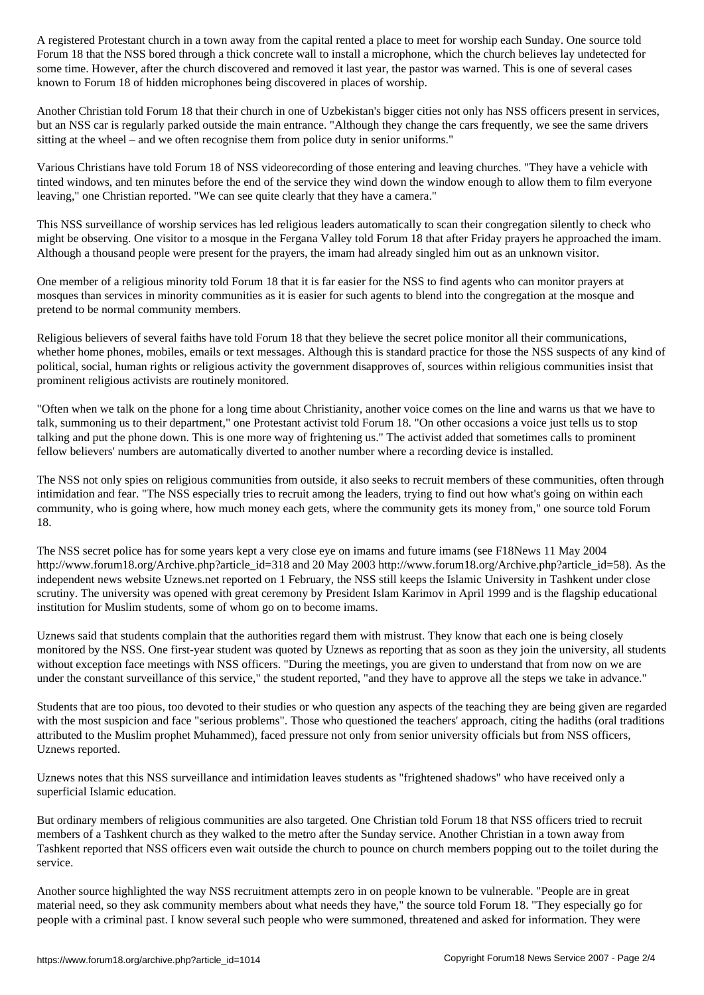For the NSS bored through a thick concrete wall to install a microphone, which the church believes lay undetected for  $\omega$ some time. However, after the church discovered and removed it last year, the pastor was warned. This is one of several cases known to Forum 18 of hidden microphones being discovered in places of worship.

Another Christian told Forum 18 that their church in one of Uzbekistan's bigger cities not only has NSS officers present in services, but an NSS car is regularly parked outside the main entrance. "Although they change the cars frequently, we see the same drivers sitting at the wheel – and we often recognise them from police duty in senior uniforms."

Various Christians have told Forum 18 of NSS videorecording of those entering and leaving churches. "They have a vehicle with tinted windows, and ten minutes before the end of the service they wind down the window enough to allow them to film everyone leaving," one Christian reported. "We can see quite clearly that they have a camera."

This NSS surveillance of worship services has led religious leaders automatically to scan their congregation silently to check who might be observing. One visitor to a mosque in the Fergana Valley told Forum 18 that after Friday prayers he approached the imam. Although a thousand people were present for the prayers, the imam had already singled him out as an unknown visitor.

One member of a religious minority told Forum 18 that it is far easier for the NSS to find agents who can monitor prayers at mosques than services in minority communities as it is easier for such agents to blend into the congregation at the mosque and pretend to be normal community members.

Religious believers of several faiths have told Forum 18 that they believe the secret police monitor all their communications, whether home phones, mobiles, emails or text messages. Although this is standard practice for those the NSS suspects of any kind of political, social, human rights or religious activity the government disapproves of, sources within religious communities insist that prominent religious activists are routinely monitored.

"Often when we talk on the phone for a long time about Christianity, another voice comes on the line and warns us that we have to talk, summoning us to their department," one Protestant activist told Forum 18. "On other occasions a voice just tells us to stop talking and put the phone down. This is one more way of frightening us." The activist added that sometimes calls to prominent fellow believers' numbers are automatically diverted to another number where a recording device is installed.

The NSS not only spies on religious communities from outside, it also seeks to recruit members of these communities, often through intimidation and fear. "The NSS especially tries to recruit among the leaders, trying to find out how what's going on within each community, who is going where, how much money each gets, where the community gets its money from," one source told Forum 18.

The NSS secret police has for some years kept a very close eye on imams and future imams (see F18News 11 May 2004 http://www.forum18.org/Archive.php?article\_id=318 and 20 May 2003 http://www.forum18.org/Archive.php?article\_id=58). As the independent news website Uznews.net reported on 1 February, the NSS still keeps the Islamic University in Tashkent under close scrutiny. The university was opened with great ceremony by President Islam Karimov in April 1999 and is the flagship educational institution for Muslim students, some of whom go on to become imams.

Uznews said that students complain that the authorities regard them with mistrust. They know that each one is being closely monitored by the NSS. One first-year student was quoted by Uznews as reporting that as soon as they join the university, all students without exception face meetings with NSS officers. "During the meetings, you are given to understand that from now on we are under the constant surveillance of this service," the student reported, "and they have to approve all the steps we take in advance."

Students that are too pious, too devoted to their studies or who question any aspects of the teaching they are being given are regarded with the most suspicion and face "serious problems". Those who questioned the teachers' approach, citing the hadiths (oral traditions attributed to the Muslim prophet Muhammed), faced pressure not only from senior university officials but from NSS officers, Uznews reported.

Uznews notes that this NSS surveillance and intimidation leaves students as "frightened shadows" who have received only a superficial Islamic education.

But ordinary members of religious communities are also targeted. One Christian told Forum 18 that NSS officers tried to recruit members of a Tashkent church as they walked to the metro after the Sunday service. Another Christian in a town away from Tashkent reported that NSS officers even wait outside the church to pounce on church members popping out to the toilet during the service.

Another source highlighted the way NSS recruitment attempts zero in on people known to be vulnerable. "People are in great material need, so they ask community members about what needs they have," the source told Forum 18. "They especially go for people with a criminal past. I know several such people who were summoned, threatened and asked for information. They were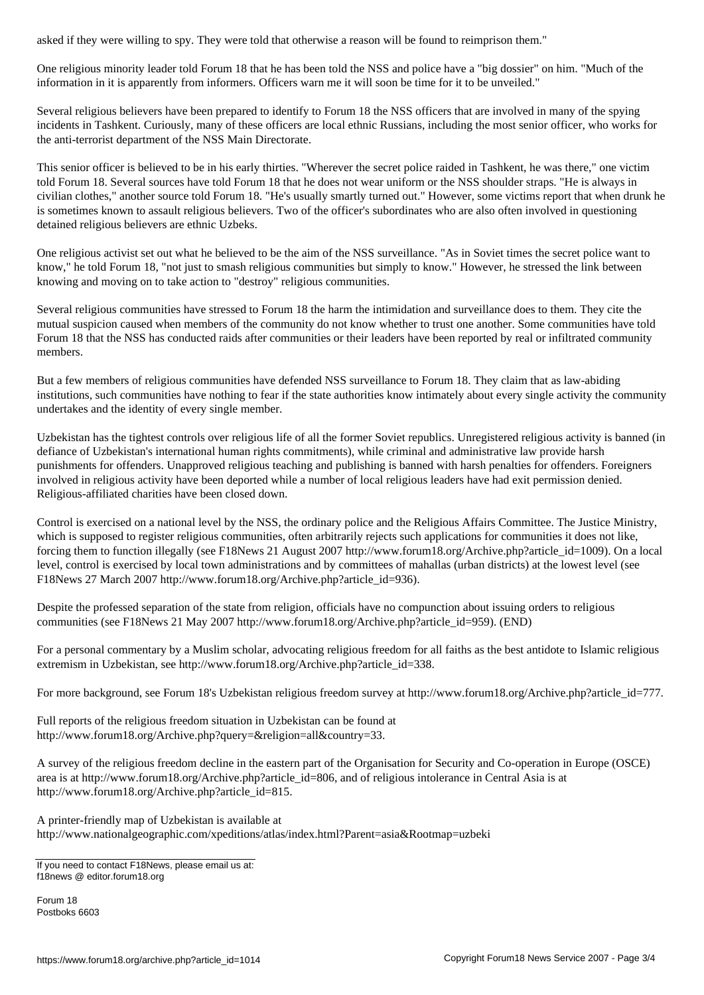One religious minority leader told Forum 18 that he has been told the NSS and police have a "big dossier" on him. "Much of the information in it is apparently from informers. Officers warn me it will soon be time for it to be unveiled."

Several religious believers have been prepared to identify to Forum 18 the NSS officers that are involved in many of the spying incidents in Tashkent. Curiously, many of these officers are local ethnic Russians, including the most senior officer, who works for the anti-terrorist department of the NSS Main Directorate.

This senior officer is believed to be in his early thirties. "Wherever the secret police raided in Tashkent, he was there," one victim told Forum 18. Several sources have told Forum 18 that he does not wear uniform or the NSS shoulder straps. "He is always in civilian clothes," another source told Forum 18. "He's usually smartly turned out." However, some victims report that when drunk he is sometimes known to assault religious believers. Two of the officer's subordinates who are also often involved in questioning detained religious believers are ethnic Uzbeks.

One religious activist set out what he believed to be the aim of the NSS surveillance. "As in Soviet times the secret police want to know," he told Forum 18, "not just to smash religious communities but simply to know." However, he stressed the link between knowing and moving on to take action to "destroy" religious communities.

Several religious communities have stressed to Forum 18 the harm the intimidation and surveillance does to them. They cite the mutual suspicion caused when members of the community do not know whether to trust one another. Some communities have told Forum 18 that the NSS has conducted raids after communities or their leaders have been reported by real or infiltrated community members.

But a few members of religious communities have defended NSS surveillance to Forum 18. They claim that as law-abiding institutions, such communities have nothing to fear if the state authorities know intimately about every single activity the community undertakes and the identity of every single member.

Uzbekistan has the tightest controls over religious life of all the former Soviet republics. Unregistered religious activity is banned (in defiance of Uzbekistan's international human rights commitments), while criminal and administrative law provide harsh punishments for offenders. Unapproved religious teaching and publishing is banned with harsh penalties for offenders. Foreigners involved in religious activity have been deported while a number of local religious leaders have had exit permission denied. Religious-affiliated charities have been closed down.

Control is exercised on a national level by the NSS, the ordinary police and the Religious Affairs Committee. The Justice Ministry, which is supposed to register religious communities, often arbitrarily rejects such applications for communities it does not like, forcing them to function illegally (see F18News 21 August 2007 http://www.forum18.org/Archive.php?article\_id=1009). On a local level, control is exercised by local town administrations and by committees of mahallas (urban districts) at the lowest level (see F18News 27 March 2007 http://www.forum18.org/Archive.php?article\_id=936).

Despite the professed separation of the state from religion, officials have no compunction about issuing orders to religious communities (see F18News 21 May 2007 http://www.forum18.org/Archive.php?article\_id=959). (END)

For a personal commentary by a Muslim scholar, advocating religious freedom for all faiths as the best antidote to Islamic religious extremism in Uzbekistan, see http://www.forum18.org/Archive.php?article\_id=338.

For more background, see Forum 18's Uzbekistan religious freedom survey at http://www.forum18.org/Archive.php?article\_id=777.

Full reports of the religious freedom situation in Uzbekistan can be found at http://www.forum18.org/Archive.php?query=&religion=all&country=33.

A survey of the religious freedom decline in the eastern part of the Organisation for Security and Co-operation in Europe (OSCE) area is at http://www.forum18.org/Archive.php?article\_id=806, and of religious intolerance in Central Asia is at http://www.forum18.org/Archive.php?article\_id=815.

A printer-friendly map of Uzbekistan is available at http://www.nationalgeographic.com/xpeditions/atlas/index.html?Parent=asia&Rootmap=uzbeki

Forum 18 Postboks 6603

If you need to contact F18News, please email us at: f18news @ editor.forum18.org